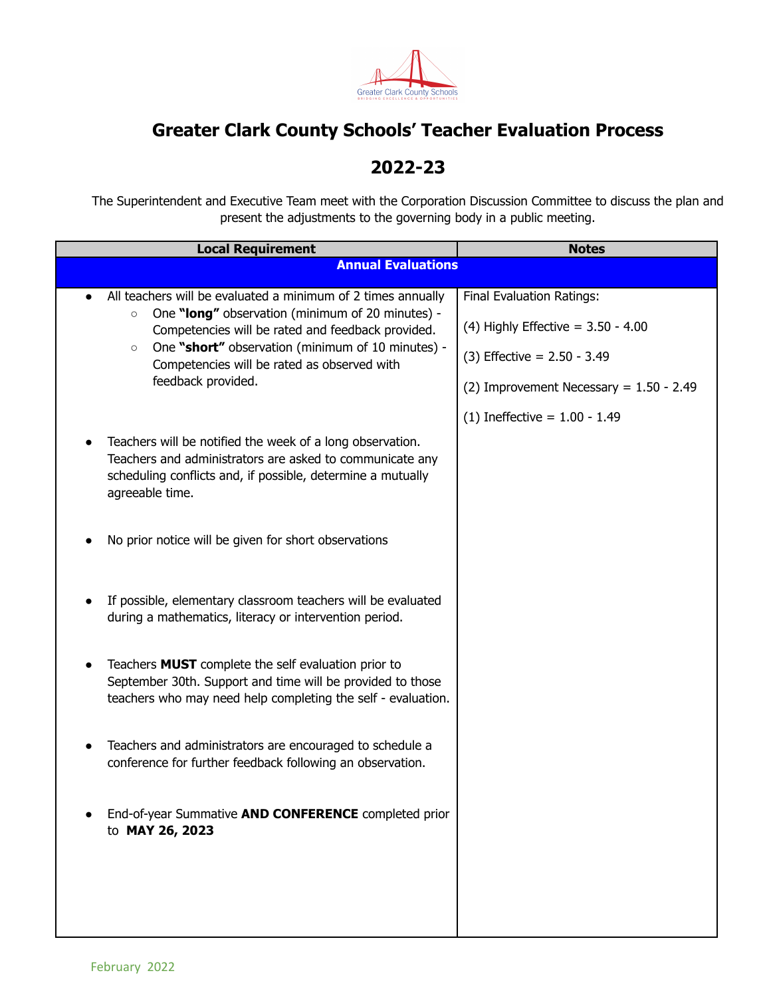

## **Greater Clark County Schools' Teacher Evaluation Process**

## **2022-23**

The Superintendent and Executive Team meet with the Corporation Discussion Committee to discuss the plan and present the adjustments to the governing body in a public meeting.

| <b>Local Requirement</b>                                                                                                                                                                                                                                                                                              | <b>Notes</b>                                                                                                                                           |
|-----------------------------------------------------------------------------------------------------------------------------------------------------------------------------------------------------------------------------------------------------------------------------------------------------------------------|--------------------------------------------------------------------------------------------------------------------------------------------------------|
| <b>Annual Evaluations</b>                                                                                                                                                                                                                                                                                             |                                                                                                                                                        |
| All teachers will be evaluated a minimum of 2 times annually<br>One "long" observation (minimum of 20 minutes) -<br>$\circ$<br>Competencies will be rated and feedback provided.<br>One "short" observation (minimum of 10 minutes) -<br>$\circ$<br>Competencies will be rated as observed with<br>feedback provided. | <b>Final Evaluation Ratings:</b><br>(4) Highly Effective = $3.50 - 4.00$<br>$(3)$ Effective = 2.50 - 3.49<br>(2) Improvement Necessary = $1.50 - 2.49$ |
| Teachers will be notified the week of a long observation.<br>Teachers and administrators are asked to communicate any<br>scheduling conflicts and, if possible, determine a mutually<br>agreeable time.                                                                                                               | (1) Ineffective = $1.00 - 1.49$                                                                                                                        |
| No prior notice will be given for short observations                                                                                                                                                                                                                                                                  |                                                                                                                                                        |
| If possible, elementary classroom teachers will be evaluated<br>$\bullet$<br>during a mathematics, literacy or intervention period.                                                                                                                                                                                   |                                                                                                                                                        |
| Teachers <b>MUST</b> complete the self evaluation prior to<br>September 30th. Support and time will be provided to those<br>teachers who may need help completing the self - evaluation.                                                                                                                              |                                                                                                                                                        |
| Teachers and administrators are encouraged to schedule a<br>conference for further feedback following an observation.                                                                                                                                                                                                 |                                                                                                                                                        |
| End-of-year Summative AND CONFERENCE completed prior<br>to MAY 26, 2023                                                                                                                                                                                                                                               |                                                                                                                                                        |
|                                                                                                                                                                                                                                                                                                                       |                                                                                                                                                        |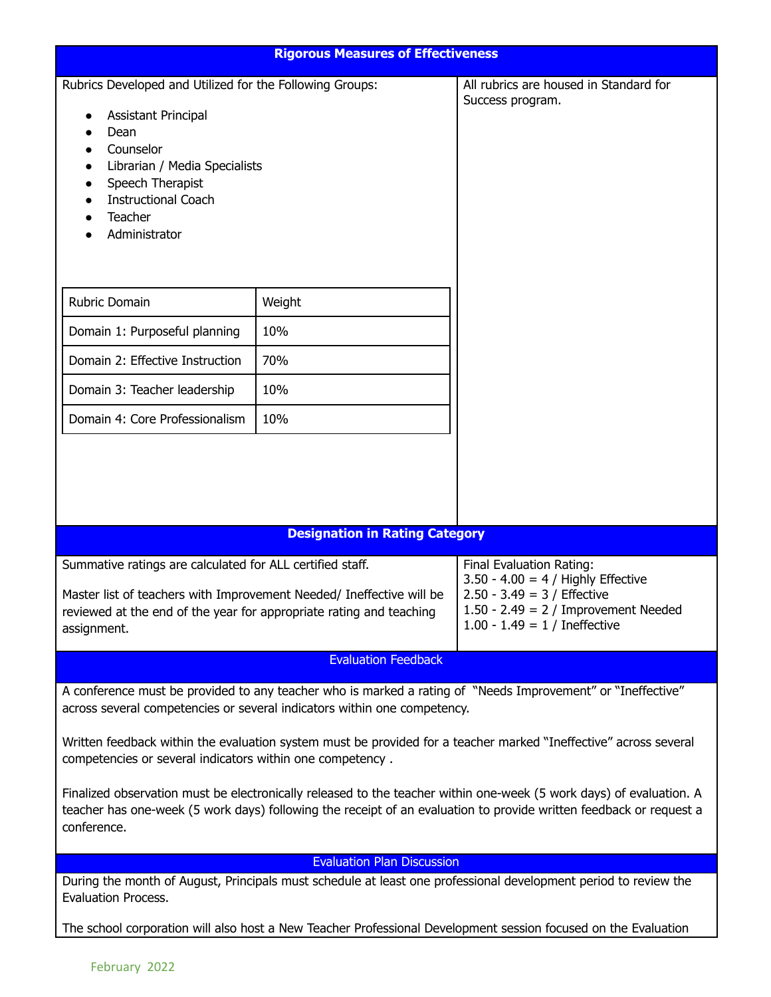| <b>Rigorous Measures of Effectiveness</b>                                                                                                                                                                               |                                       |                                                                                                                                                                                                                                           |  |
|-------------------------------------------------------------------------------------------------------------------------------------------------------------------------------------------------------------------------|---------------------------------------|-------------------------------------------------------------------------------------------------------------------------------------------------------------------------------------------------------------------------------------------|--|
| Rubrics Developed and Utilized for the Following Groups:<br>Assistant Principal<br>Dean<br>Counselor<br>Librarian / Media Specialists<br>Speech Therapist<br><b>Instructional Coach</b><br>Teacher<br>Administrator     |                                       | All rubrics are housed in Standard for<br>Success program.                                                                                                                                                                                |  |
| Rubric Domain                                                                                                                                                                                                           | Weight                                |                                                                                                                                                                                                                                           |  |
| Domain 1: Purposeful planning                                                                                                                                                                                           | 10%                                   |                                                                                                                                                                                                                                           |  |
| Domain 2: Effective Instruction                                                                                                                                                                                         | 70%                                   |                                                                                                                                                                                                                                           |  |
| Domain 3: Teacher leadership                                                                                                                                                                                            | 10%                                   |                                                                                                                                                                                                                                           |  |
| Domain 4: Core Professionalism                                                                                                                                                                                          | 10%                                   |                                                                                                                                                                                                                                           |  |
|                                                                                                                                                                                                                         | <b>Designation in Rating Category</b> |                                                                                                                                                                                                                                           |  |
|                                                                                                                                                                                                                         |                                       |                                                                                                                                                                                                                                           |  |
| Summative ratings are calculated for ALL certified staff.<br>Master list of teachers with Improvement Needed/ Ineffective will be<br>reviewed at the end of the year for appropriate rating and teaching<br>assignment. |                                       | Final Evaluation Rating:<br>$3.50 - 4.00 = 4$ / Highly Effective<br>$2.50 - 3.49 = 3 /$ Effective<br>$1.50 - 2.49 = 2 /$ Improvement Needed<br>1.00 - 1.49 = $1/$ Ineffective                                                             |  |
|                                                                                                                                                                                                                         | <b>Evaluation Feedback</b>            |                                                                                                                                                                                                                                           |  |
| A conference must be provided to any teacher who is marked a rating of "Needs Improvement" or "Ineffective"<br>across several competencies or several indicators within one competency.                                 |                                       |                                                                                                                                                                                                                                           |  |
| Written feedback within the evaluation system must be provided for a teacher marked "Ineffective" across several<br>competencies or several indicators within one competency.                                           |                                       |                                                                                                                                                                                                                                           |  |
| conference.                                                                                                                                                                                                             |                                       | Finalized observation must be electronically released to the teacher within one-week (5 work days) of evaluation. A<br>teacher has one-week (5 work days) following the receipt of an evaluation to provide written feedback or request a |  |
| <b>Evaluation Plan Discussion</b>                                                                                                                                                                                       |                                       |                                                                                                                                                                                                                                           |  |
| <b>Evaluation Process.</b>                                                                                                                                                                                              |                                       | During the month of August, Principals must schedule at least one professional development period to review the                                                                                                                           |  |
| The school corporation will also host a New Teacher Professional Development session focused on the Evaluation                                                                                                          |                                       |                                                                                                                                                                                                                                           |  |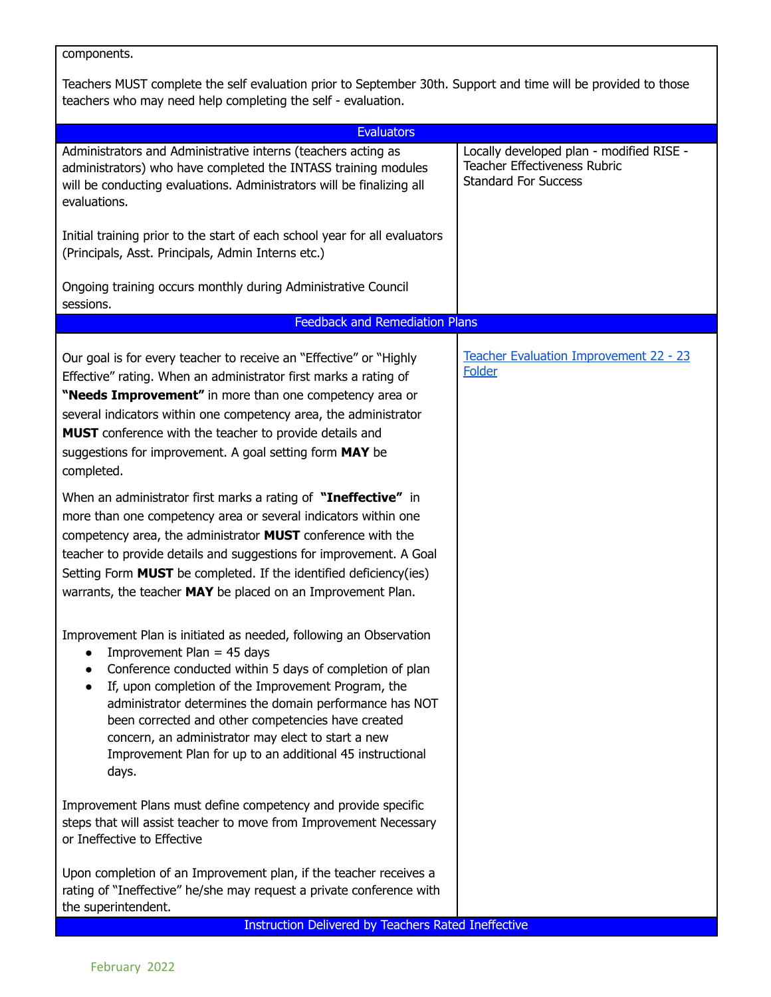components.

Teachers MUST complete the self evaluation prior to September 30th. Support and time will be provided to those teachers who may need help completing the self - evaluation.

| <b>Evaluators</b>                                                                                                                                                                                                                                                                                                                                                                                                                                                              |                                                                                                         |  |  |  |
|--------------------------------------------------------------------------------------------------------------------------------------------------------------------------------------------------------------------------------------------------------------------------------------------------------------------------------------------------------------------------------------------------------------------------------------------------------------------------------|---------------------------------------------------------------------------------------------------------|--|--|--|
| Administrators and Administrative interns (teachers acting as<br>administrators) who have completed the INTASS training modules<br>will be conducting evaluations. Administrators will be finalizing all<br>evaluations.                                                                                                                                                                                                                                                       | Locally developed plan - modified RISE -<br>Teacher Effectiveness Rubric<br><b>Standard For Success</b> |  |  |  |
| Initial training prior to the start of each school year for all evaluators<br>(Principals, Asst. Principals, Admin Interns etc.)                                                                                                                                                                                                                                                                                                                                               |                                                                                                         |  |  |  |
| Ongoing training occurs monthly during Administrative Council<br>sessions.                                                                                                                                                                                                                                                                                                                                                                                                     |                                                                                                         |  |  |  |
| <b>Feedback and Remediation Plans</b>                                                                                                                                                                                                                                                                                                                                                                                                                                          |                                                                                                         |  |  |  |
| Our goal is for every teacher to receive an "Effective" or "Highly<br>Effective" rating. When an administrator first marks a rating of<br>"Needs Improvement" in more than one competency area or<br>several indicators within one competency area, the administrator<br>MUST conference with the teacher to provide details and<br>suggestions for improvement. A goal setting form MAY be<br>completed.                                                                      | Teacher Evaluation Improvement 22 - 23<br><b>Folder</b>                                                 |  |  |  |
| When an administrator first marks a rating of "Ineffective" in<br>more than one competency area or several indicators within one<br>competency area, the administrator MUST conference with the<br>teacher to provide details and suggestions for improvement. A Goal<br>Setting Form <b>MUST</b> be completed. If the identified deficiency(ies)<br>warrants, the teacher MAY be placed on an Improvement Plan.                                                               |                                                                                                         |  |  |  |
| Improvement Plan is initiated as needed, following an Observation<br>Improvement Plan = $45$ days<br>Conference conducted within 5 days of completion of plan<br>$\bullet$<br>If, upon completion of the Improvement Program, the<br>administrator determines the domain performance has NOT<br>been corrected and other competencies have created<br>concern, an administrator may elect to start a new<br>Improvement Plan for up to an additional 45 instructional<br>days. |                                                                                                         |  |  |  |
| Improvement Plans must define competency and provide specific<br>steps that will assist teacher to move from Improvement Necessary<br>or Ineffective to Effective                                                                                                                                                                                                                                                                                                              |                                                                                                         |  |  |  |
| Upon completion of an Improvement plan, if the teacher receives a<br>rating of "Ineffective" he/she may request a private conference with<br>the superintendent.<br><b>Instruction Delivered by Teachers Rated Ineffective</b>                                                                                                                                                                                                                                                 |                                                                                                         |  |  |  |